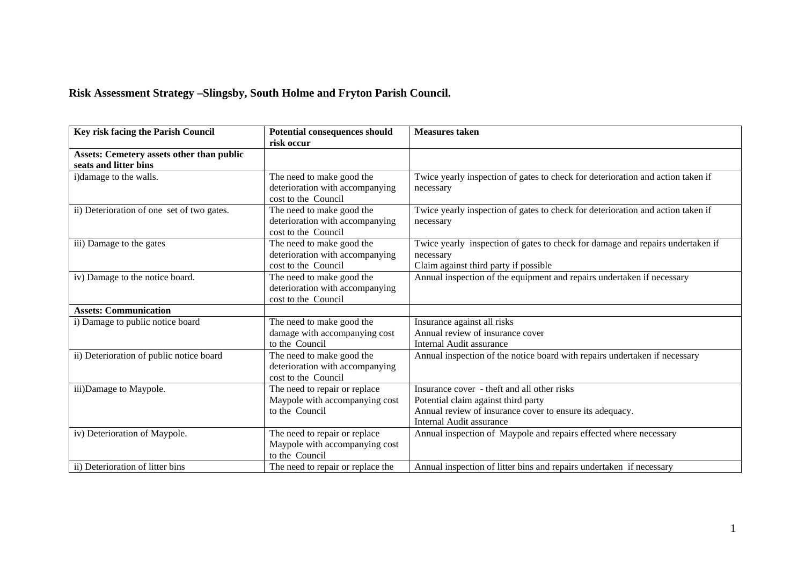## **Risk Assessment Strategy –Slingsby, South Holme and Fryton Parish Council.**

| Key risk facing the Parish Council                                        | <b>Potential consequences should</b><br>risk occur                                  | <b>Measures</b> taken                                                                                                                                                      |
|---------------------------------------------------------------------------|-------------------------------------------------------------------------------------|----------------------------------------------------------------------------------------------------------------------------------------------------------------------------|
| <b>Assets: Cemetery assets other than public</b><br>seats and litter bins |                                                                                     |                                                                                                                                                                            |
| i)damage to the walls.                                                    | The need to make good the<br>deterioration with accompanying<br>cost to the Council | Twice yearly inspection of gates to check for deterioration and action taken if<br>necessary                                                                               |
| ii) Deterioration of one set of two gates.                                | The need to make good the<br>deterioration with accompanying<br>cost to the Council | Twice yearly inspection of gates to check for deterioration and action taken if<br>necessary                                                                               |
| iii) Damage to the gates                                                  | The need to make good the<br>deterioration with accompanying<br>cost to the Council | Twice yearly inspection of gates to check for damage and repairs undertaken if<br>necessary<br>Claim against third party if possible                                       |
| iv) Damage to the notice board.                                           | The need to make good the<br>deterioration with accompanying<br>cost to the Council | Annual inspection of the equipment and repairs undertaken if necessary                                                                                                     |
| <b>Assets: Communication</b>                                              |                                                                                     |                                                                                                                                                                            |
| i) Damage to public notice board                                          | The need to make good the<br>damage with accompanying cost<br>to the Council        | Insurance against all risks<br>Annual review of insurance cover<br>Internal Audit assurance                                                                                |
| ii) Deterioration of public notice board                                  | The need to make good the<br>deterioration with accompanying<br>cost to the Council | Annual inspection of the notice board with repairs undertaken if necessary                                                                                                 |
| iii)Damage to Maypole.                                                    | The need to repair or replace<br>Maypole with accompanying cost<br>to the Council   | Insurance cover - theft and all other risks<br>Potential claim against third party<br>Annual review of insurance cover to ensure its adequacy.<br>Internal Audit assurance |
| iv) Deterioration of Maypole.                                             | The need to repair or replace<br>Maypole with accompanying cost<br>to the Council   | Annual inspection of Maypole and repairs effected where necessary                                                                                                          |
| ii) Deterioration of litter bins                                          | The need to repair or replace the                                                   | Annual inspection of litter bins and repairs undertaken if necessary                                                                                                       |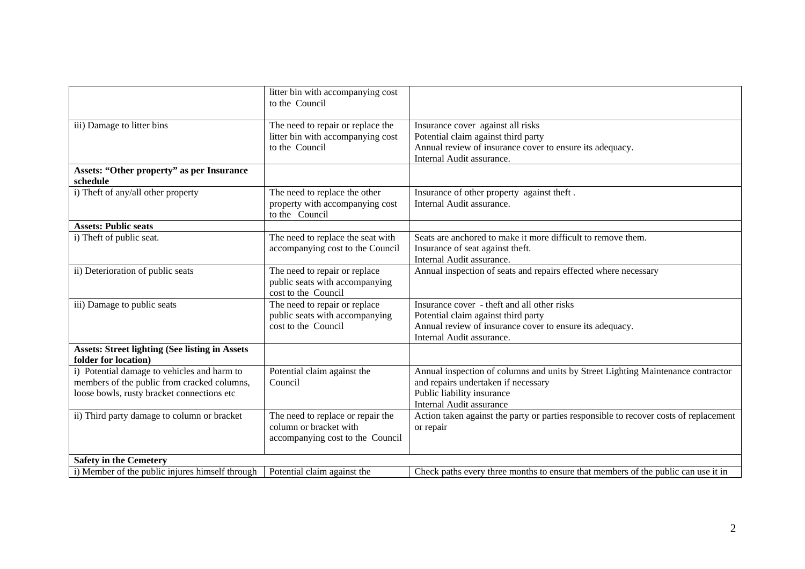|                                                                                                                                          | litter bin with accompanying cost<br>to the Council                                             |                                                                                                                                                                                          |
|------------------------------------------------------------------------------------------------------------------------------------------|-------------------------------------------------------------------------------------------------|------------------------------------------------------------------------------------------------------------------------------------------------------------------------------------------|
| iii) Damage to litter bins                                                                                                               | The need to repair or replace the<br>litter bin with accompanying cost<br>to the Council        | Insurance cover against all risks<br>Potential claim against third party<br>Annual review of insurance cover to ensure its adequacy.<br>Internal Audit assurance.                        |
| <b>Assets: "Other property" as per Insurance</b><br>schedule                                                                             |                                                                                                 |                                                                                                                                                                                          |
| i) Theft of any/all other property                                                                                                       | The need to replace the other<br>property with accompanying cost<br>to the Council              | Insurance of other property against theft.<br>Internal Audit assurance.                                                                                                                  |
| <b>Assets: Public seats</b>                                                                                                              |                                                                                                 |                                                                                                                                                                                          |
| i) Theft of public seat.                                                                                                                 | The need to replace the seat with<br>accompanying cost to the Council                           | Seats are anchored to make it more difficult to remove them.<br>Insurance of seat against theft.<br>Internal Audit assurance.                                                            |
| ii) Deterioration of public seats                                                                                                        | The need to repair or replace<br>public seats with accompanying<br>cost to the Council          | Annual inspection of seats and repairs effected where necessary                                                                                                                          |
| iii) Damage to public seats                                                                                                              | The need to repair or replace<br>public seats with accompanying<br>cost to the Council          | Insurance cover - theft and all other risks<br>Potential claim against third party<br>Annual review of insurance cover to ensure its adequacy.<br>Internal Audit assurance.              |
| <b>Assets: Street lighting (See listing in Assets</b><br>folder for location)                                                            |                                                                                                 |                                                                                                                                                                                          |
| i) Potential damage to vehicles and harm to<br>members of the public from cracked columns,<br>loose bowls, rusty bracket connections etc | Potential claim against the<br>Council                                                          | Annual inspection of columns and units by Street Lighting Maintenance contractor<br>and repairs undertaken if necessary<br>Public liability insurance<br><b>Internal Audit assurance</b> |
| ii) Third party damage to column or bracket                                                                                              | The need to replace or repair the<br>column or bracket with<br>accompanying cost to the Council | Action taken against the party or parties responsible to recover costs of replacement<br>or repair                                                                                       |
| <b>Safety in the Cemetery</b>                                                                                                            |                                                                                                 |                                                                                                                                                                                          |
| i) Member of the public injures himself through                                                                                          | Potential claim against the                                                                     | Check paths every three months to ensure that members of the public can use it in                                                                                                        |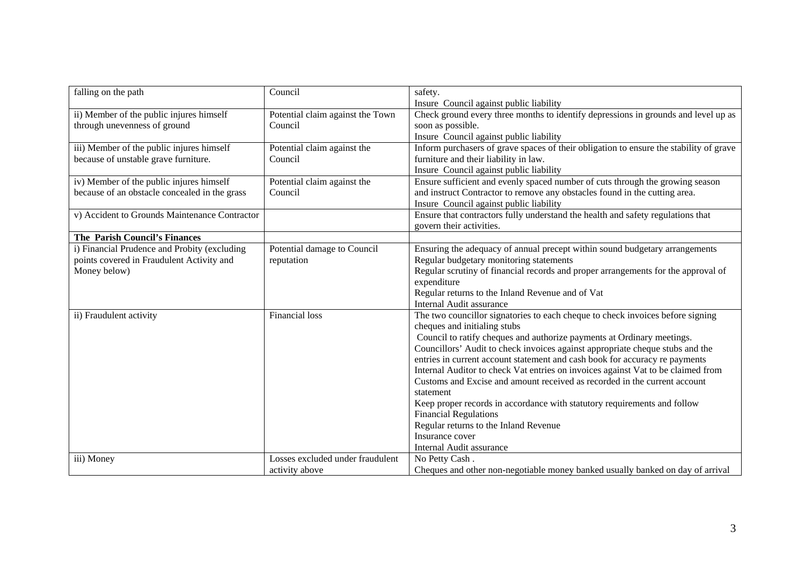| falling on the path                           | Council                          | safety.                                                                                |
|-----------------------------------------------|----------------------------------|----------------------------------------------------------------------------------------|
|                                               |                                  | Insure Council against public liability                                                |
| ii) Member of the public injures himself      | Potential claim against the Town | Check ground every three months to identify depressions in grounds and level up as     |
| through unevenness of ground                  | Council                          | soon as possible.                                                                      |
|                                               |                                  | Insure Council against public liability                                                |
| iii) Member of the public injures himself     | Potential claim against the      | Inform purchasers of grave spaces of their obligation to ensure the stability of grave |
| because of unstable grave furniture.          | Council                          | furniture and their liability in law.                                                  |
|                                               |                                  | Insure Council against public liability                                                |
| iv) Member of the public injures himself      | Potential claim against the      | Ensure sufficient and evenly spaced number of cuts through the growing season          |
| because of an obstacle concealed in the grass | Council                          | and instruct Contractor to remove any obstacles found in the cutting area.             |
|                                               |                                  | Insure Council against public liability                                                |
| v) Accident to Grounds Maintenance Contractor |                                  | Ensure that contractors fully understand the health and safety regulations that        |
|                                               |                                  | govern their activities.                                                               |
| The Parish Council's Finances                 |                                  |                                                                                        |
| i) Financial Prudence and Probity (excluding  | Potential damage to Council      | Ensuring the adequacy of annual precept within sound budgetary arrangements            |
| points covered in Fraudulent Activity and     | reputation                       | Regular budgetary monitoring statements                                                |
| Money below)                                  |                                  | Regular scrutiny of financial records and proper arrangements for the approval of      |
|                                               |                                  | expenditure                                                                            |
|                                               |                                  | Regular returns to the Inland Revenue and of Vat                                       |
|                                               |                                  | Internal Audit assurance                                                               |
| ii) Fraudulent activity                       | <b>Financial</b> loss            | The two councillor signatories to each cheque to check invoices before signing         |
|                                               |                                  | cheques and initialing stubs                                                           |
|                                               |                                  | Council to ratify cheques and authorize payments at Ordinary meetings.                 |
|                                               |                                  | Councillors' Audit to check invoices against appropriate cheque stubs and the          |
|                                               |                                  | entries in current account statement and cash book for accuracy re payments            |
|                                               |                                  | Internal Auditor to check Vat entries on invoices against Vat to be claimed from       |
|                                               |                                  | Customs and Excise and amount received as recorded in the current account              |
|                                               |                                  | statement                                                                              |
|                                               |                                  | Keep proper records in accordance with statutory requirements and follow               |
|                                               |                                  | <b>Financial Regulations</b>                                                           |
|                                               |                                  | Regular returns to the Inland Revenue                                                  |
|                                               |                                  | Insurance cover                                                                        |
|                                               |                                  | Internal Audit assurance                                                               |
| iii) Money                                    | Losses excluded under fraudulent | No Petty Cash.                                                                         |
|                                               | activity above                   | Cheques and other non-negotiable money banked usually banked on day of arrival         |